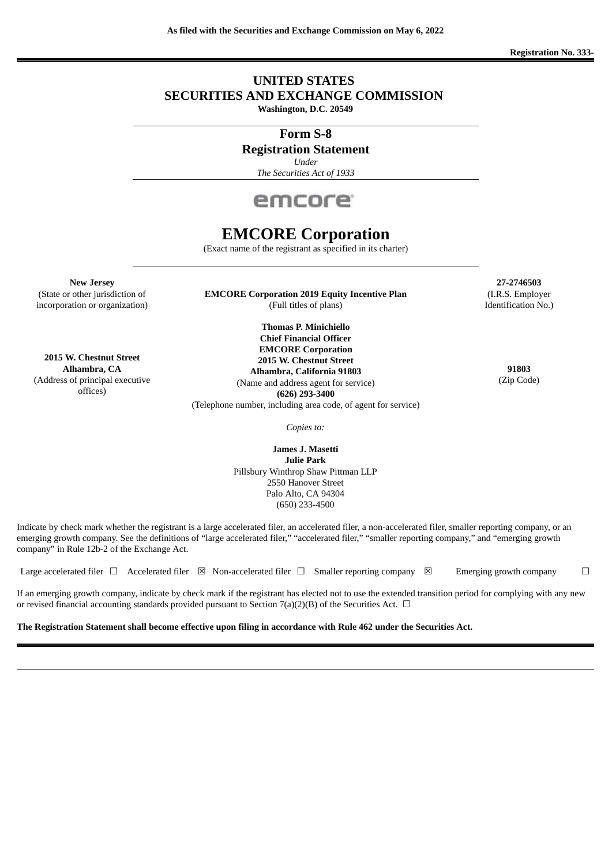# **UNITED STATES SECURITIES AND EXCHANGE COMMISSION**

**Washington, D.C. 20549**

**Form S-8**

# **Registration Statement**

*Under*

*The Securities Act of 1933*



# **EMCORE Corporation**

(Exact name of the registrant as specified in its charter)

**New Jersey 27-2746503**

(State or other jurisdiction of **EMCORE Corporation 2019 Equity Incentive Plan** (I.R.S. Employer incorporation or organization) (Full titles of plans) and the state of plans and the Identification No.)

**Thomas P. Minichiello Chief Financial Officer EMCORE Corporation 2015 W. Chestnut Street Alhambra, California 91803 Alhambra, CA 91803** (Name and address agent for service) **(626) 293-3400** (Telephone number, including area code, of agent for service)

(Zip Code)

*Copies to:*

**James J. Masetti Julie Park** Pillsbury Winthrop Shaw Pittman LLP 2550 Hanover Street Palo Alto, CA 94304 (650) 233-4500

Indicate by check mark whether the registrant is a large accelerated filer, an accelerated filer, a non-accelerated filer, smaller reporting company, or an emerging growth company. See the definitions of "large accelerated filer," "accelerated filer," "smaller reporting company," and "emerging growth company" in Rule 12b-2 of the Exchange Act.

Large accelerated filer  $\Box$  Accelerated filer  $\boxtimes$  Non-accelerated filer  $\Box$  Smaller reporting company  $\boxtimes$  Emerging growth company  $\Box$ 

If an emerging growth company, indicate by check mark if the registrant has elected not to use the extended transition period for complying with any new or revised financial accounting standards provided pursuant to Section 7(a)(2)(B) of the Securities Act.  $\Box$ 

The Registration Statement shall become effective upon filing in accordance with Rule 462 under the Securities Act.

**2015 W. Chestnut Street** (Address of principal executive offices)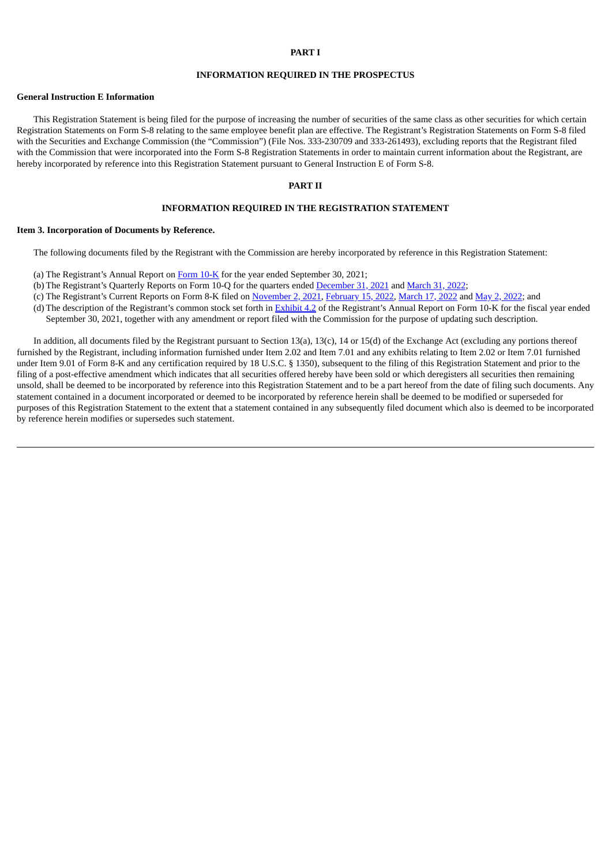### **PART I**

#### **INFORMATION REQUIRED IN THE PROSPECTUS**

#### **General Instruction E Information**

This Registration Statement is being filed for the purpose of increasing the number of securities of the same class as other securities for which certain Registration Statements on Form S-8 relating to the same employee benefit plan are effective. The Registrant's Registration Statements on Form S-8 filed with the Securities and Exchange Commission (the "Commission") (File Nos. 333-230709 and 333-261493), excluding reports that the Registrant filed with the Commission that were incorporated into the Form S-8 Registration Statements in order to maintain current information about the Registrant, are hereby incorporated by reference into this Registration Statement pursuant to General Instruction E of Form S-8.

# **PART II**

#### **INFORMATION REQUIRED IN THE REGISTRATION STATEMENT**

#### **Item 3. Incorporation of Documents by Reference.**

The following documents filed by the Registrant with the Commission are hereby incorporated by reference in this Registration Statement:

- (a) The Registrant's Annual Report on [Form](https://www.sec.gov/ix?doc=/Archives/edgar/data/808326/000080832621000044/emkr-20210930.htm) 10-K for the year ended September 30, 2021;
- (b) The Registrant's Quarterly Reports on Form 10-Q for the quarters ended [December](https://www.sec.gov/ix?doc=/Archives/edgar/data/808326/000080832622000008/emkr-20211231.htm) 31, 2021 and [March](http://www.sec.gov/Archives/edgar/data/0000808326/000080832622000025/emkr-20220331.htm) 31, 2022;
- (c) The Registrant's Current Reports on Form 8-K filed on [November](https://www.sec.gov/ix?doc=/Archives/edgar/data/0000808326/000080832621000034/emkr-20211101.htm) 2, 2021, [February](https://www.sec.gov/Archives/edgar/data/0000808326/000110465922023528/tm226722d1_8k.htm) 15, 2022, [March](https://www.sec.gov/ix?doc=/Archives/edgar/data/808326/000080832622000012/emkr-20220311.htm) 17, [2022](https://www.sec.gov/ix?doc=/Archives/edgar/data/0000808326/000080832622000017/emkr-20220429.htm) and May 2, 2022; and
- (d) The description of the Registrant's common stock set forth in **[Exhibit](https://www.sec.gov/Archives/edgar/data/808326/000080832621000044/emkrdescriptionofregistran.htm) 4.2** of the Registrant's Annual Report on Form 10-K for the fiscal year ended September 30, 2021, together with any amendment or report filed with the Commission for the purpose of updating such description.

In addition, all documents filed by the Registrant pursuant to Section 13(a), 13(c), 14 or 15(d) of the Exchange Act (excluding any portions thereof furnished by the Registrant, including information furnished under Item 2.02 and Item 7.01 and any exhibits relating to Item 2.02 or Item 7.01 furnished under Item 9.01 of Form 8-K and any certification required by 18 U.S.C. § 1350), subsequent to the filing of this Registration Statement and prior to the filing of a post-effective amendment which indicates that all securities offered hereby have been sold or which deregisters all securities then remaining unsold, shall be deemed to be incorporated by reference into this Registration Statement and to be a part hereof from the date of filing such documents. Any statement contained in a document incorporated or deemed to be incorporated by reference herein shall be deemed to be modified or superseded for purposes of this Registration Statement to the extent that a statement contained in any subsequently filed document which also is deemed to be incorporated by reference herein modifies or supersedes such statement.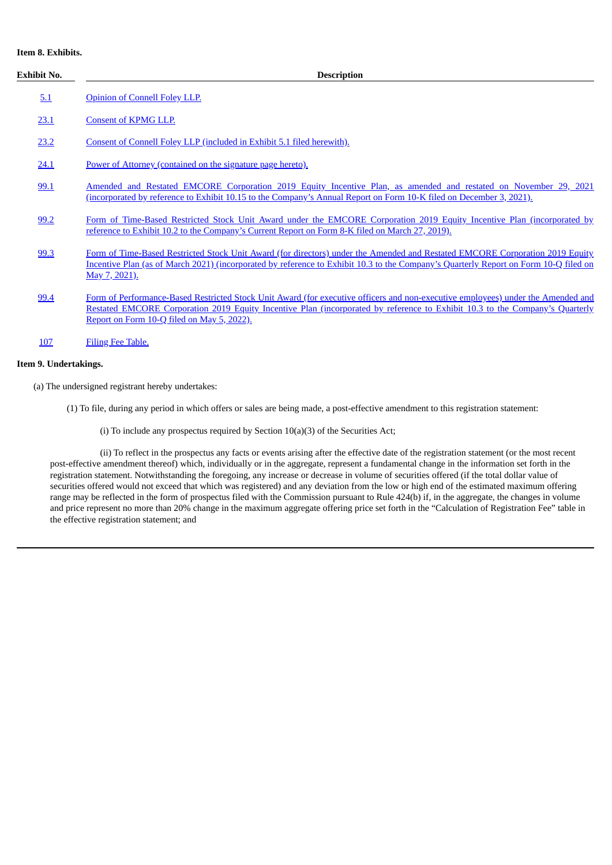# **Item 8. Exhibits.**

| Exhibit No. | <b>Description</b>                                                                                                                                                                                                                                                                                             |  |  |  |  |  |  |  |
|-------------|----------------------------------------------------------------------------------------------------------------------------------------------------------------------------------------------------------------------------------------------------------------------------------------------------------------|--|--|--|--|--|--|--|
| 5.1         | Opinion of Connell Foley LLP.                                                                                                                                                                                                                                                                                  |  |  |  |  |  |  |  |
| 23.1        | <b>Consent of KPMG LLP.</b>                                                                                                                                                                                                                                                                                    |  |  |  |  |  |  |  |
| 23.2        | Consent of Connell Foley LLP (included in Exhibit 5.1 filed herewith).                                                                                                                                                                                                                                         |  |  |  |  |  |  |  |
| 24.1        | Power of Attorney (contained on the signature page hereto).                                                                                                                                                                                                                                                    |  |  |  |  |  |  |  |
| 99.1        | Amended and Restated EMCORE Corporation 2019 Equity Incentive Plan, as amended and restated on November 29, 2021<br>(incorporated by reference to Exhibit 10.15 to the Company's Annual Report on Form 10-K filed on December 3, 2021).                                                                        |  |  |  |  |  |  |  |
| 99.2        | Form of Time-Based Restricted Stock Unit Award under the EMCORE Corporation 2019 Equity Incentive Plan (incorporated by<br>reference to Exhibit 10.2 to the Company's Current Report on Form 8-K filed on March 27, 2019).                                                                                     |  |  |  |  |  |  |  |
| 99.3        | Form of Time-Based Restricted Stock Unit Award (for directors) under the Amended and Restated EMCORE Corporation 2019 Equity<br>Incentive Plan (as of March 2021) (incorporated by reference to Exhibit 10.3 to the Company's Quarterly Report on Form 10-Q filed on<br>May 7, 2021).                          |  |  |  |  |  |  |  |
| 99.4        | Form of Performance-Based Restricted Stock Unit Award (for executive officers and non-executive employees) under the Amended and<br>Restated EMCORE Corporation 2019 Equity Incentive Plan (incorporated by reference to Exhibit 10.3 to the Company's Quarterly<br>Report on Form 10-Q filed on May 5, 2022). |  |  |  |  |  |  |  |
| 107         | <b>Filing Fee Table.</b>                                                                                                                                                                                                                                                                                       |  |  |  |  |  |  |  |

# **Item 9. Undertakings.**

(a) The undersigned registrant hereby undertakes:

- (1) To file, during any period in which offers or sales are being made, a post-effective amendment to this registration statement:
	- (i) To include any prospectus required by Section 10(a)(3) of the Securities Act;

(ii) To reflect in the prospectus any facts or events arising after the effective date of the registration statement (or the most recent post-effective amendment thereof) which, individually or in the aggregate, represent a fundamental change in the information set forth in the registration statement. Notwithstanding the foregoing, any increase or decrease in volume of securities offered (if the total dollar value of securities offered would not exceed that which was registered) and any deviation from the low or high end of the estimated maximum offering range may be reflected in the form of prospectus filed with the Commission pursuant to Rule 424(b) if, in the aggregate, the changes in volume and price represent no more than 20% change in the maximum aggregate offering price set forth in the "Calculation of Registration Fee" table in the effective registration statement; and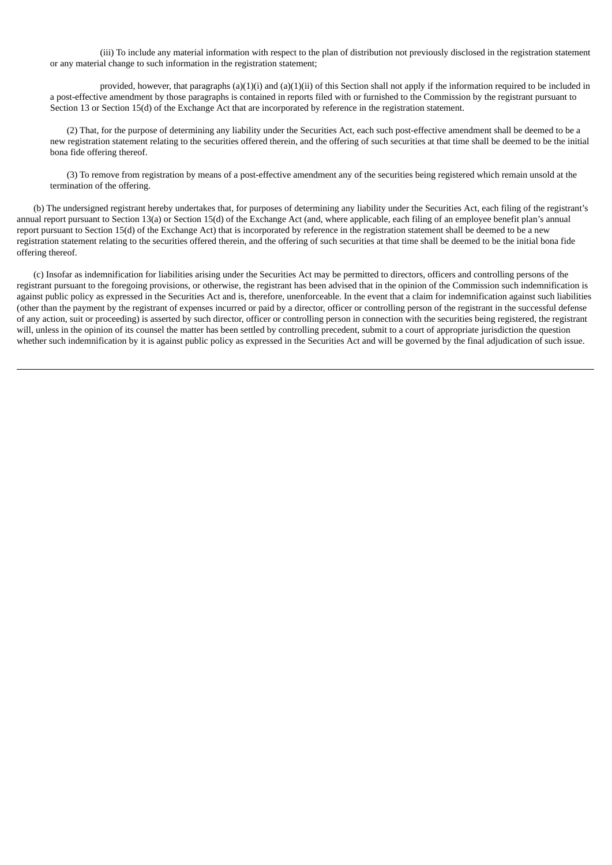(iii) To include any material information with respect to the plan of distribution not previously disclosed in the registration statement or any material change to such information in the registration statement;

provided, however, that paragraphs  $(a)(1)(i)$  and  $(a)(1)(ii)$  of this Section shall not apply if the information required to be included in a post-effective amendment by those paragraphs is contained in reports filed with or furnished to the Commission by the registrant pursuant to Section 13 or Section 15(d) of the Exchange Act that are incorporated by reference in the registration statement.

(2) That, for the purpose of determining any liability under the Securities Act, each such post-effective amendment shall be deemed to be a new registration statement relating to the securities offered therein, and the offering of such securities at that time shall be deemed to be the initial bona fide offering thereof.

(3) To remove from registration by means of a post-effective amendment any of the securities being registered which remain unsold at the termination of the offering.

(b) The undersigned registrant hereby undertakes that, for purposes of determining any liability under the Securities Act, each filing of the registrant's annual report pursuant to Section 13(a) or Section 15(d) of the Exchange Act (and, where applicable, each filing of an employee benefit plan's annual report pursuant to Section 15(d) of the Exchange Act) that is incorporated by reference in the registration statement shall be deemed to be a new registration statement relating to the securities offered therein, and the offering of such securities at that time shall be deemed to be the initial bona fide offering thereof.

(c) Insofar as indemnification for liabilities arising under the Securities Act may be permitted to directors, officers and controlling persons of the registrant pursuant to the foregoing provisions, or otherwise, the registrant has been advised that in the opinion of the Commission such indemnification is against public policy as expressed in the Securities Act and is, therefore, unenforceable. In the event that a claim for indemnification against such liabilities (other than the payment by the registrant of expenses incurred or paid by a director, officer or controlling person of the registrant in the successful defense of any action, suit or proceeding) is asserted by such director, officer or controlling person in connection with the securities being registered, the registrant will, unless in the opinion of its counsel the matter has been settled by controlling precedent, submit to a court of appropriate jurisdiction the question whether such indemnification by it is against public policy as expressed in the Securities Act and will be governed by the final adjudication of such issue.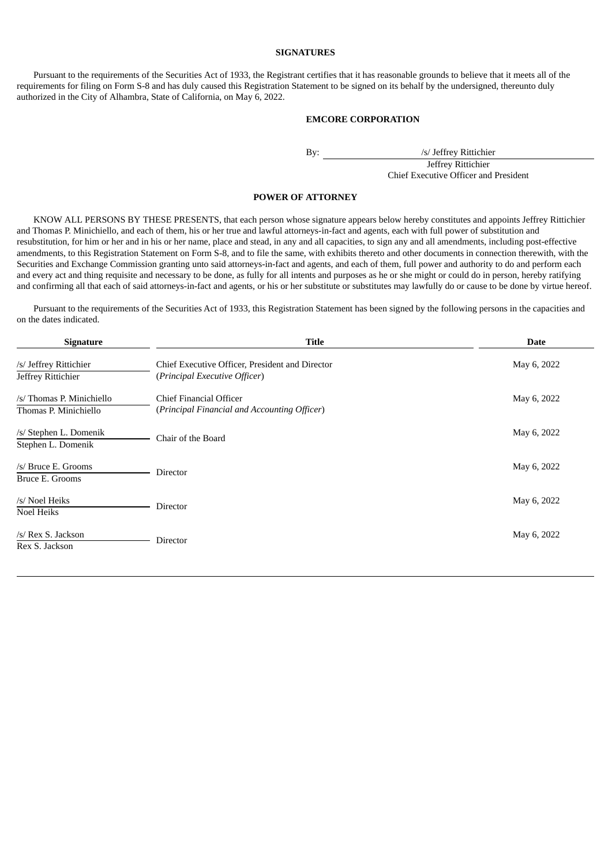## **SIGNATURES**

<span id="page-4-0"></span>Pursuant to the requirements of the Securities Act of 1933, the Registrant certifies that it has reasonable grounds to believe that it meets all of the requirements for filing on Form S-8 and has duly caused this Registration Statement to be signed on its behalf by the undersigned, thereunto duly authorized in the City of Alhambra, State of California, on May 6, 2022.

## **EMCORE CORPORATION**

By: /s/ Jeffrey Rittichier

Jeffrey Rittichier Chief Executive Officer and President

#### **POWER OF ATTORNEY**

KNOW ALL PERSONS BY THESE PRESENTS, that each person whose signature appears below hereby constitutes and appoints Jeffrey Rittichier and Thomas P. Minichiello, and each of them, his or her true and lawful attorneys-in-fact and agents, each with full power of substitution and resubstitution, for him or her and in his or her name, place and stead, in any and all capacities, to sign any and all amendments, including post-effective amendments, to this Registration Statement on Form S-8, and to file the same, with exhibits thereto and other documents in connection therewith, with the Securities and Exchange Commission granting unto said attorneys-in-fact and agents, and each of them, full power and authority to do and perform each and every act and thing requisite and necessary to be done, as fully for all intents and purposes as he or she might or could do in person, hereby ratifying and confirming all that each of said attorneys-in-fact and agents, or his or her substitute or substitutes may lawfully do or cause to be done by virtue hereof.

Pursuant to the requirements of the Securities Act of 1933, this Registration Statement has been signed by the following persons in the capacities and on the dates indicated.

| <b>Signature</b>                                   | <b>Title</b>                                                                     | <b>Date</b> |
|----------------------------------------------------|----------------------------------------------------------------------------------|-------------|
| /s/ Jeffrey Rittichier<br>Jeffrey Rittichier       | Chief Executive Officer, President and Director<br>(Principal Executive Officer) | May 6, 2022 |
| /s/ Thomas P. Minichiello<br>Thomas P. Minichiello | Chief Financial Officer<br>(Principal Financial and Accounting Officer)          | May 6, 2022 |
| /s/ Stephen L. Domenik<br>Stephen L. Domenik       | Chair of the Board                                                               | May 6, 2022 |
| /s/ Bruce E. Grooms<br>Bruce E. Grooms             | Director                                                                         | May 6, 2022 |
| /s/ Noel Heiks<br>Noel Heiks                       | Director                                                                         | May 6, 2022 |
| /s/ Rex S. Jackson<br>Rex S. Jackson               | Director                                                                         | May 6, 2022 |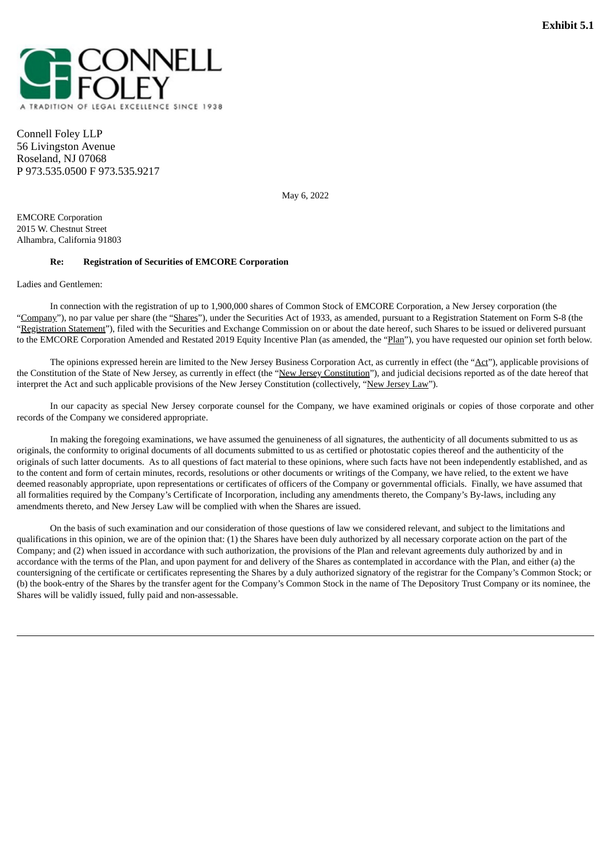<span id="page-5-0"></span>

Connell Foley LLP 56 Livingston Avenue Roseland, NJ 07068 P 973.535.0500 F 973.535.9217

May 6, 2022

EMCORE Corporation 2015 W. Chestnut Street Alhambra, California 91803

#### **Re: Registration of Securities of EMCORE Corporation**

Ladies and Gentlemen:

In connection with the registration of up to 1,900,000 shares of Common Stock of EMCORE Corporation, a New Jersey corporation (the "Company"), no par value per share (the "Shares"), under the Securities Act of 1933, as amended, pursuant to a Registration Statement on Form S-8 (the "Registration Statement"), filed with the Securities and Exchange Commission on or about the date hereof, such Shares to be issued or delivered pursuant to the EMCORE Corporation Amended and Restated 2019 Equity Incentive Plan (as amended, the "Plan"), you have requested our opinion set forth below.

The opinions expressed herein are limited to the New Jersey Business Corporation Act, as currently in effect (the "Act"), applicable provisions of the Constitution of the State of New Jersey, as currently in effect (the "New Jersey Constitution"), and judicial decisions reported as of the date hereof that interpret the Act and such applicable provisions of the New Jersey Constitution (collectively, "New Jersey Law").

In our capacity as special New Jersey corporate counsel for the Company, we have examined originals or copies of those corporate and other records of the Company we considered appropriate.

In making the foregoing examinations, we have assumed the genuineness of all signatures, the authenticity of all documents submitted to us as originals, the conformity to original documents of all documents submitted to us as certified or photostatic copies thereof and the authenticity of the originals of such latter documents. As to all questions of fact material to these opinions, where such facts have not been independently established, and as to the content and form of certain minutes, records, resolutions or other documents or writings of the Company, we have relied, to the extent we have deemed reasonably appropriate, upon representations or certificates of officers of the Company or governmental officials. Finally, we have assumed that all formalities required by the Company's Certificate of Incorporation, including any amendments thereto, the Company's By-laws, including any amendments thereto, and New Jersey Law will be complied with when the Shares are issued.

On the basis of such examination and our consideration of those questions of law we considered relevant, and subject to the limitations and qualifications in this opinion, we are of the opinion that: (1) the Shares have been duly authorized by all necessary corporate action on the part of the Company; and (2) when issued in accordance with such authorization, the provisions of the Plan and relevant agreements duly authorized by and in accordance with the terms of the Plan, and upon payment for and delivery of the Shares as contemplated in accordance with the Plan, and either (a) the countersigning of the certificate or certificates representing the Shares by a duly authorized signatory of the registrar for the Company's Common Stock; or (b) the book-entry of the Shares by the transfer agent for the Company's Common Stock in the name of The Depository Trust Company or its nominee, the Shares will be validly issued, fully paid and non-assessable.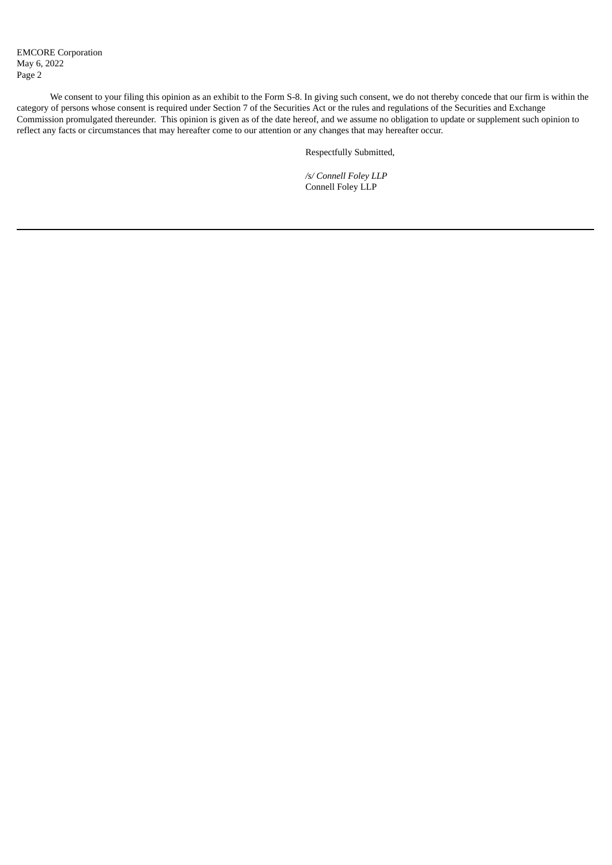We consent to your filing this opinion as an exhibit to the Form S-8. In giving such consent, we do not thereby concede that our firm is within the category of persons whose consent is required under Section 7 of the Securities Act or the rules and regulations of the Securities and Exchange Commission promulgated thereunder. This opinion is given as of the date hereof, and we assume no obligation to update or supplement such opinion to reflect any facts or circumstances that may hereafter come to our attention or any changes that may hereafter occur.

Respectfully Submitted,

*/s/ Connell Foley LLP* Connell Foley LLP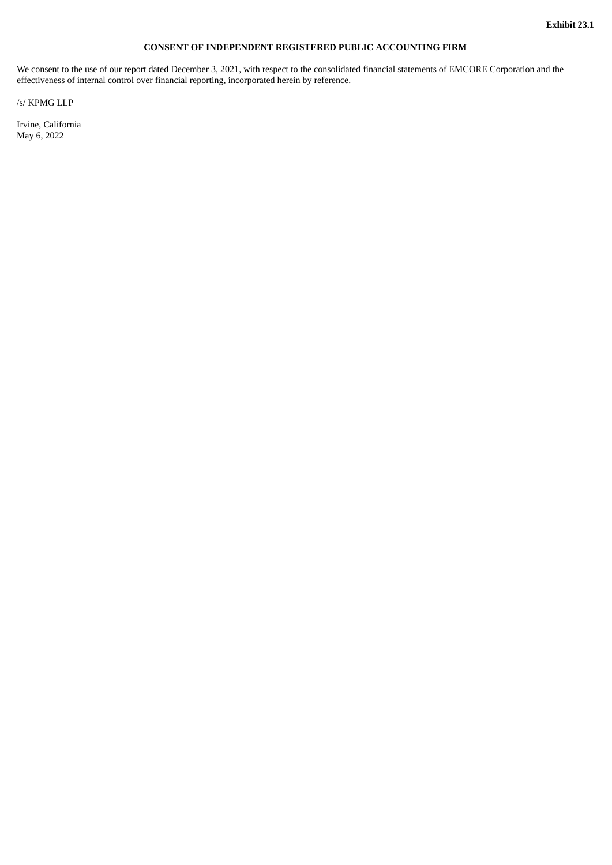# **CONSENT OF INDEPENDENT REGISTERED PUBLIC ACCOUNTING FIRM**

<span id="page-7-0"></span>We consent to the use of our report dated December 3, 2021, with respect to the consolidated financial statements of EMCORE Corporation and the effectiveness of internal control over financial reporting, incorporated herein by reference.

/s/ KPMG LLP

Irvine, California May 6, 2022